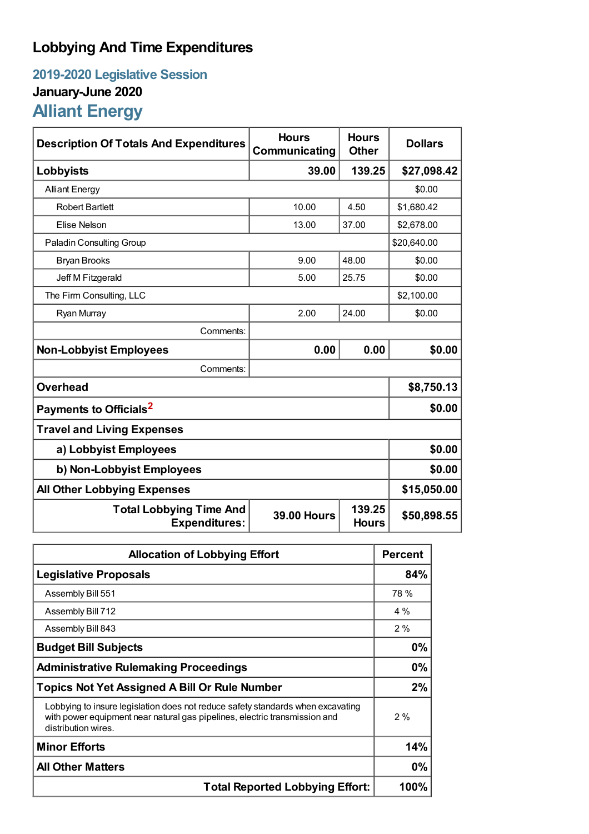## **Lobbying And Time Expenditures**

## **2019-2020 Legislative Session January-June 2020 Alliant Energy**

| <b>Description Of Totals And Expenditures</b>          | <b>Hours</b><br><b>Communicating</b> | <b>Hours</b><br><b>Other</b> | <b>Dollars</b> |  |
|--------------------------------------------------------|--------------------------------------|------------------------------|----------------|--|
| Lobbyists                                              | 39.00                                | 139.25                       | \$27,098.42    |  |
| <b>Alliant Energy</b>                                  |                                      |                              | \$0.00         |  |
| <b>Robert Bartlett</b>                                 | 10.00                                | 4.50                         | \$1,680.42     |  |
| Elise Nelson                                           | 13.00                                | 37.00                        | \$2,678.00     |  |
| <b>Paladin Consulting Group</b>                        |                                      |                              | \$20,640.00    |  |
| <b>Bryan Brooks</b>                                    | 9.00                                 | 48.00                        | \$0.00         |  |
| Jeff M Fitzgerald                                      | 5.00                                 | 25.75                        | \$0.00         |  |
| The Firm Consulting, LLC                               |                                      |                              | \$2,100.00     |  |
| Ryan Murray                                            | 2.00                                 | 24.00                        | \$0.00         |  |
| Comments:                                              |                                      |                              |                |  |
| <b>Non-Lobbyist Employees</b>                          | 0.00                                 | 0.00                         | \$0.00         |  |
| Comments:                                              |                                      |                              |                |  |
| <b>Overhead</b>                                        |                                      |                              | \$8,750.13     |  |
| Payments to Officials <sup>2</sup>                     | \$0.00                               |                              |                |  |
| <b>Travel and Living Expenses</b>                      |                                      |                              |                |  |
| a) Lobbyist Employees                                  | \$0.00                               |                              |                |  |
| b) Non-Lobbyist Employees                              | \$0.00                               |                              |                |  |
| <b>All Other Lobbying Expenses</b>                     | \$15,050.00                          |                              |                |  |
| <b>Total Lobbying Time And</b><br><b>Expenditures:</b> | <b>39.00 Hours</b>                   | 139.25<br><b>Hours</b>       | \$50,898.55    |  |

| <b>Allocation of Lobbying Effort</b>                                                                                                                                                 |       |
|--------------------------------------------------------------------------------------------------------------------------------------------------------------------------------------|-------|
| <b>Legislative Proposals</b>                                                                                                                                                         | 84%   |
| Assembly Bill 551                                                                                                                                                                    | 78 %  |
| Assembly Bill 712                                                                                                                                                                    | 4 %   |
| Assembly Bill 843                                                                                                                                                                    | 2%    |
| <b>Budget Bill Subjects</b>                                                                                                                                                          | 0%    |
| <b>Administrative Rulemaking Proceedings</b>                                                                                                                                         | 0%    |
| <b>Topics Not Yet Assigned A Bill Or Rule Number</b>                                                                                                                                 |       |
| Lobbying to insure legislation does not reduce safety standards when excavating<br>with power equipment near natural gas pipelines, electric transmission and<br>distribution wires. | $2\%$ |
| <b>Minor Efforts</b>                                                                                                                                                                 | 14%   |
| <b>All Other Matters</b>                                                                                                                                                             |       |
| <b>Total Reported Lobbying Effort:</b>                                                                                                                                               |       |